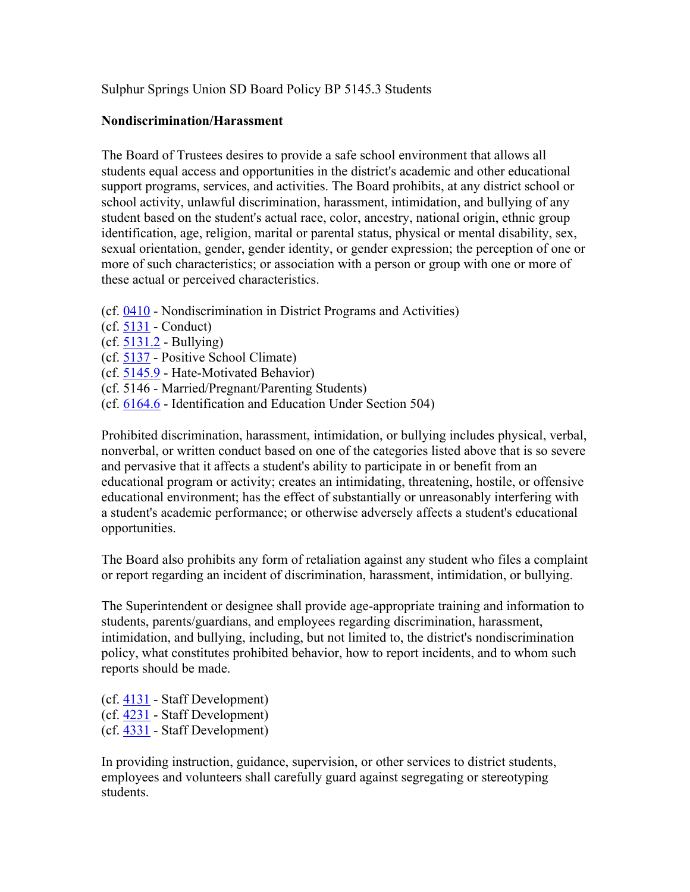Sulphur Springs Union SD Board Policy BP 5145.3 Students

## **Nondiscrimination/Harassment**

The Board of Trustees desires to provide a safe school environment that allows all students equal access and opportunities in the district's academic and other educational support programs, services, and activities. The Board prohibits, at any district school or school activity, unlawful discrimination, harassment, intimidation, and bullying of any student based on the student's actual race, color, ancestry, national origin, ethnic group identification, age, religion, marital or parental status, physical or mental disability, sex, sexual orientation, gender, gender identity, or gender expression; the perception of one or more of such characteristics; or association with a person or group with one or more of these actual or perceived characteristics.

- (cf. 0410 Nondiscrimination in District Programs and Activities)
- (cf. 5131 Conduct)
- (cf. 5131.2 Bullying)
- (cf. 5137 Positive School Climate)
- (cf. 5145.9 Hate-Motivated Behavior)
- (cf. 5146 Married/Pregnant/Parenting Students)
- (cf. 6164.6 Identification and Education Under Section 504)

Prohibited discrimination, harassment, intimidation, or bullying includes physical, verbal, nonverbal, or written conduct based on one of the categories listed above that is so severe and pervasive that it affects a student's ability to participate in or benefit from an educational program or activity; creates an intimidating, threatening, hostile, or offensive educational environment; has the effect of substantially or unreasonably interfering with a student's academic performance; or otherwise adversely affects a student's educational opportunities.

The Board also prohibits any form of retaliation against any student who files a complaint or report regarding an incident of discrimination, harassment, intimidation, or bullying.

The Superintendent or designee shall provide age-appropriate training and information to students, parents/guardians, and employees regarding discrimination, harassment, intimidation, and bullying, including, but not limited to, the district's nondiscrimination policy, what constitutes prohibited behavior, how to report incidents, and to whom such reports should be made.

(cf. 4131 - Staff Development) (cf. 4231 - Staff Development) (cf. 4331 - Staff Development)

In providing instruction, guidance, supervision, or other services to district students, employees and volunteers shall carefully guard against segregating or stereotyping students.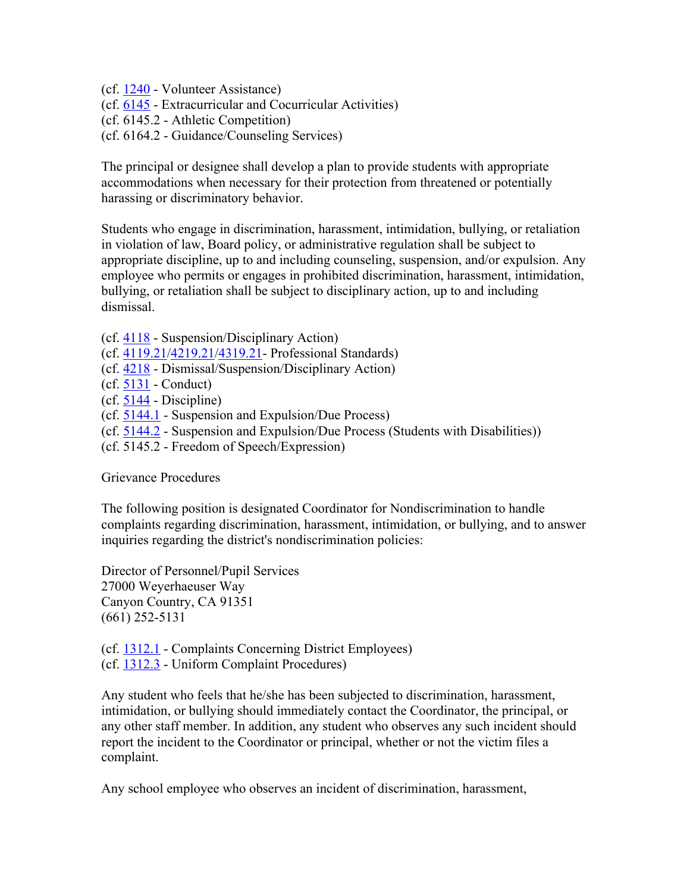(cf. 1240 - Volunteer Assistance) (cf. 6145 - Extracurricular and Cocurricular Activities) (cf. 6145.2 - Athletic Competition) (cf. 6164.2 - Guidance/Counseling Services)

The principal or designee shall develop a plan to provide students with appropriate accommodations when necessary for their protection from threatened or potentially harassing or discriminatory behavior.

Students who engage in discrimination, harassment, intimidation, bullying, or retaliation in violation of law, Board policy, or administrative regulation shall be subject to appropriate discipline, up to and including counseling, suspension, and/or expulsion. Any employee who permits or engages in prohibited discrimination, harassment, intimidation, bullying, or retaliation shall be subject to disciplinary action, up to and including dismissal.

- (cf. 4118 Suspension/Disciplinary Action)
- (cf. 4119.21/4219.21/4319.21- Professional Standards)
- (cf. 4218 Dismissal/Suspension/Disciplinary Action)
- (cf. 5131 Conduct)
- (cf. 5144 Discipline)
- (cf. 5144.1 Suspension and Expulsion/Due Process)
- (cf. 5144.2 Suspension and Expulsion/Due Process (Students with Disabilities))
- (cf. 5145.2 Freedom of Speech/Expression)

Grievance Procedures

The following position is designated Coordinator for Nondiscrimination to handle complaints regarding discrimination, harassment, intimidation, or bullying, and to answer inquiries regarding the district's nondiscrimination policies:

Director of Personnel/Pupil Services 27000 Weyerhaeuser Way Canyon Country, CA 91351 (661) 252-5131

(cf. 1312.1 - Complaints Concerning District Employees)

(cf. 1312.3 - Uniform Complaint Procedures)

Any student who feels that he/she has been subjected to discrimination, harassment, intimidation, or bullying should immediately contact the Coordinator, the principal, or any other staff member. In addition, any student who observes any such incident should report the incident to the Coordinator or principal, whether or not the victim files a complaint.

Any school employee who observes an incident of discrimination, harassment,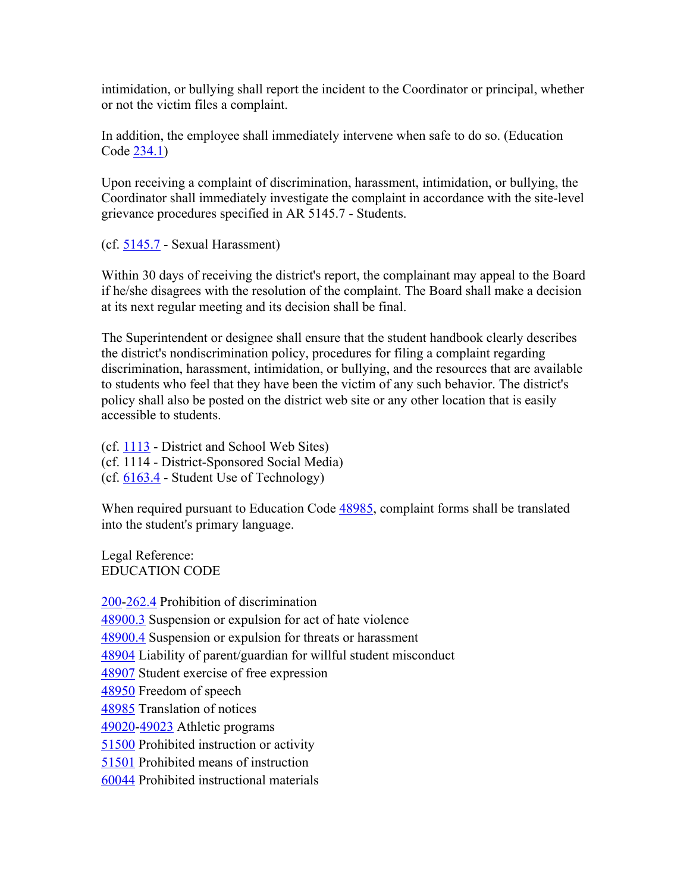intimidation, or bullying shall report the incident to the Coordinator or principal, whether or not the victim files a complaint.

In addition, the employee shall immediately intervene when safe to do so. (Education Code 234.1)

Upon receiving a complaint of discrimination, harassment, intimidation, or bullying, the Coordinator shall immediately investigate the complaint in accordance with the site-level grievance procedures specified in AR 5145.7 - Students.

(cf. 5145.7 - Sexual Harassment)

Within 30 days of receiving the district's report, the complainant may appeal to the Board if he/she disagrees with the resolution of the complaint. The Board shall make a decision at its next regular meeting and its decision shall be final.

The Superintendent or designee shall ensure that the student handbook clearly describes the district's nondiscrimination policy, procedures for filing a complaint regarding discrimination, harassment, intimidation, or bullying, and the resources that are available to students who feel that they have been the victim of any such behavior. The district's policy shall also be posted on the district web site or any other location that is easily accessible to students.

(cf. 1113 - District and School Web Sites) (cf. 1114 - District-Sponsored Social Media) (cf. 6163.4 - Student Use of Technology)

When required pursuant to Education Code 48985, complaint forms shall be translated into the student's primary language.

Legal Reference: EDUCATION CODE

200-262.4 Prohibition of discrimination 48900.3 Suspension or expulsion for act of hate violence 48900.4 Suspension or expulsion for threats or harassment 48904 Liability of parent/guardian for willful student misconduct 48907 Student exercise of free expression 48950 Freedom of speech 48985 Translation of notices 49020-49023 Athletic programs 51500 Prohibited instruction or activity 51501 Prohibited means of instruction 60044 Prohibited instructional materials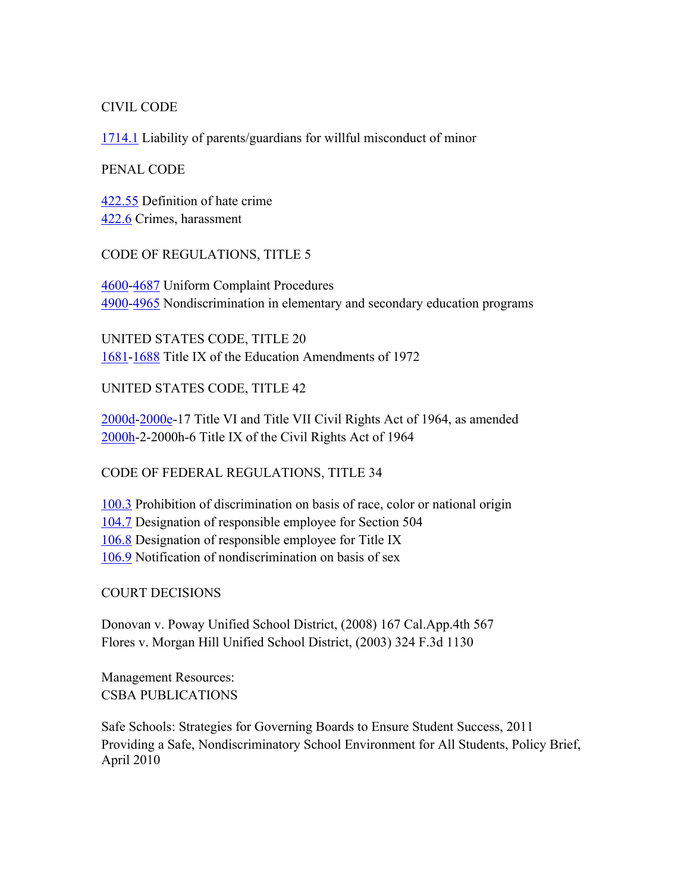## CIVIL CODE

1714.1 Liability of parents/guardians for willful misconduct of minor

## PENAL CODE

422.55 Definition of hate crime 422.6 Crimes, harassment

# CODE OF REGULATIONS, TITLE 5

4600-4687 Uniform Complaint Procedures 4900-4965 Nondiscrimination in elementary and secondary education programs

UNITED STATES CODE, TITLE 20 1681-1688 Title IX of the Education Amendments of 1972

UNITED STATES CODE, TITLE 42

2000d-2000e-17 Title VI and Title VII Civil Rights Act of 1964, as amended 2000h-2-2000h-6 Title IX of the Civil Rights Act of 1964

# CODE OF FEDERAL REGULATIONS, TITLE 34

100.3 Prohibition of discrimination on basis of race, color or national origin 104.7 Designation of responsible employee for Section 504 106.8 Designation of responsible employee for Title IX 106.9 Notification of nondiscrimination on basis of sex

COURT DECISIONS

Donovan v. Poway Unified School District, (2008) 167 Cal.App.4th 567 Flores v. Morgan Hill Unified School District, (2003) 324 F.3d 1130

Management Resources: CSBA PUBLICATIONS

Safe Schools: Strategies for Governing Boards to Ensure Student Success, 2011 Providing a Safe, Nondiscriminatory School Environment for All Students, Policy Brief, April 2010